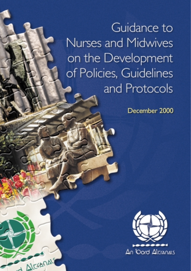Guidance to Nurses and Midwives on the Development of Policies, Guidelines and Protocols

December 2000



ALEXANALS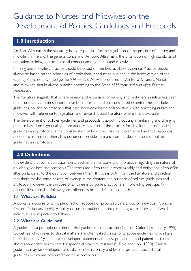# Guidance to Nurses and Midwives on the Development of Policies, Guidelines and Protocols

# **1.0 Introduction**

An Bord Altranais is the statutory body responsible for the regulation of the practice of nursing and midwifery in Ireland.The general concern of An Bord Altranais is the promotion of high standards of education, training and professional conduct among nurses and midwives.

Nursing and midwifery practice should be based on the best available evidence. Practice should always be based on the principles of professional conduct as outlined in the latest version of the *Code of Professional Conduct for each Nurse and Midwife* produced by An Bord Altranais. Nurses and midwives should always practice according to the *Scope of Nursing and Midwifery Practice Framework.*

The literature suggests that where review and expansion of nursing and midwifery practice has been most successful, certain supports have been present and are considered essential.These include guidelines, policies or protocols that have been developed collaboratively with practicing nurses and midwives with reference to legislation and research based literature where this is available.

The development of policies, guidelines and protocols is about introducing, maintaining and changing practice based on high quality information. A key part of the process for development of policies, guidelines and protocols is the consideration of how they may be implemented and the resources needed to implement them.This document provides guidance on the development of policies, guidelines and protocols.

# **2.0 Definitions**

It is evident that some confusion exists both in the literature and in practice regarding the nature of policies, guidelines and protocols.The terms are often used interchangeably and definitions often offer little guidance as to the distinction between them. It is clear both from the literature and practice that there maybe some degree of overlap in the content and purpose of policies, guidelines and protocols. However the purpose of all three is to guide practitioners in providing best quality patient/client care.The following are offered as broad definitions of each.

### **2.1 What are Policies?**

A policy is a course or principle of action adopted or proposed by a group or individual (Concise Oxford Dictionary 1995). A policy document outlines a principle that governs activity and which individuals are expected to follow.

### **2.2 What are Guidelines?**

A guideline is a principle or criterion that guides or directs action (Concise Oxford Dictionary 1995). Guidelines which refer to clinical matters are often called clinical or practice guidelines, which have been defined as: "systematically developed statements to assist practitioner and patient decisions about appropriate health care for specific clinical circumstances" (Field and Lohr 1990). Clinical guidelines may be developed nationally or internationally and be interpreted in local clinical guidelines, which are often referred to as protocols.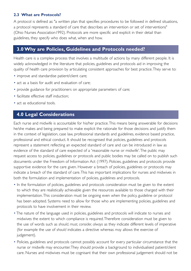### **2.3 What are Protocols?**

A protocol is defined as: "a written plan that specifies procedures to be followed in defined situations, a protocol represents a standard of care that describes an intervention or set of interventions" (Ohio Nurses Association1992). Protocols are more specific and explicit in their detail than guidelines, they specify who does what, when and how.

# **3.0 Why are Policies, Guidelines and Protocols needed?**

Health care is a complex process that involves a multitude of actions by many different people. It is widely acknowledged in the literature that policies, guidelines and protocols aid in improving the quality of health care provision by articulating consistent approaches for best practice.They serve to:

- improve and standardise patient/client care;
- act as a basis for audit and evaluation of care;
- provide guidance for practitioners on appropriate parameters of care;
- facilitate effective staff induction:
- act as educational tools.

## **4.0 Legal Considerations**

Each nurse and midwife is accountable for his/her practice.This means being answerable for decisions he/she makes and being prepared to make explicit the rationale for those decisions and justify them in the context of legislation, case law, professional standards and guidelines, evidence based practice, professional and ethical conduct. It should be recognised that policies, guidelines and protocols represent a statement reflecting an expected standard of care and can be introduced in law as evidence of the standard of care expected of a 'reasonable nurse or midwife'.The public may request access to policies, guidelines or protocols and public bodies may be called on to publish such documents under the Freedom of Information Act (1997). Policies, guidelines and protocols provide supportive evidence for the care given. However a breach of policies, guidelines or protocols may indicate a breach of the standard of care.This has important implications for nurses and midwives in both the formulation and implementation of policies, guidelines and protocols.

- In the formulation of policies, guidelines and protocols consideration must be given to the extent to which they are realistically achievable given the resources available to those charged with their implementation.This consideration must be ongoing even when the policy, guideline or protocol has been adopted. Systems need to allow for those who are implementing policies, guidelines and protocols to have involvement in their review.
- The nature of the language used in policies, guidelines and protocols will indicate to nurses and midwives the extent to which compliance is required.Therefore consideration must be given to the use of words such as *should, must, consider, always* as they indicate different levels of imperative (for example the use of *should* indicates a directive whereas *may* allows the exercise of judgement).
- Policies, guidelines and protocols cannot possibly account for every particular circumstance that the nurse or midwife may encounter.They should provide a background to individualised patient/client care. Nurses and midwives must be cognisant that their own professional judgement should not be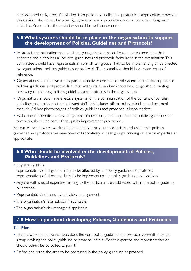compromised or ignored if deviation from policies, guidelines or protocols is appropriate. However, this decision should not be taken lightly and where appropriate consultation with colleagues is advisable. Reasons for the deviation should be well documented.

### **5.0 What systems should be in place in the organisation to support the development of Policies, Guidelines and Protocols?**

- To facilitate co-ordination and consistency, organisations should have a core committee that approves and authorises all policies, guidelines and protocols formulated in the organisation.This committee should have representation from all key groups likely to be implementing or be affected by organisational policies, guidelines or protocols.The committee should have clear terms of reference.
- Organisations should have a transparent, effectively communicated system for the development of policies, guidelines and protocols so that every staff member knows how to go about creating, reviewing or changing policies, guidelines and protocols in the organisation.
- Organisations should have effective systems for the communication of the content of policies, guidelines and protocols to all relevant staff.This includes official policy, guideline and protocol manuals. Ad hoc photocopying of policies, guidelines and protocols is inappropriate.
- Evaluation of the effectiveness of systems of developing and implementing policies, guidelines and protocols, should be part of the quality improvement programme.

For nurses or midwives working independently, it may be appropriate and useful that policies, guidelines and protocols be developed collaboratively in peer groups drawing on special expertise as appropriate.

### **6.0 Who should be involved in the development of Policies, Guidelines and Protocols?**

- Key stakeholders: representatives of all groups likely to be affected by the policy, guideline or protocol; representatives of all groups likely to be implementing the policy, guideline and protocol.
- Anyone with special expertise relating to the particular area addressed within the policy, guideline or protocol.
- Representative/s of nursing/midwifery management.
- The organisation's legal advisor if applicable.
- The organisation's risk manager if applicable.

# **7.0 How to go about developing Policies, Guidelines and Protocols**

### **7.1 Plan**

- Identify who should be involved; does the core policy, guideline and protocol committee or the group devising the policy, guideline or protocol have sufficient expertise and representation or should others be co-opted to join it?
- Define and refine the area to be addressed in the policy, guideline or protocol.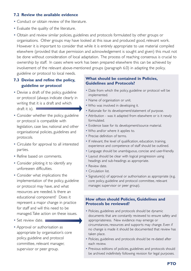### **7.2 Review the available evidence**

- Conduct or obtain review of the literature.
- Evaluate the quality of the literature.
- Obtain and review similar policies, guidelines and protocols formulated by other groups or organisations. Other groups may have looked at this issue and produced good, relevant work. However it is important to consider that while it is entirely appropriate to use material compiled elsewhere (provided that due permission and acknowledgement is sought and given) this must not be done without consideration of local adaptation. The process of reaching consensus is crucial to ownership by staff. In cases where work has been prepared elsewhere this can be achieved by involvement of the relevant above-mentioned groups (paragraph 6.0) in adapting the policy,

guideline or protocol to local needs.

### **7.3 Devise and refine the policy, guideline or protocol**

- Devise a draft of the policy, guideline or protocol (always indicate clearly in writing that it is a draft and which draft it is).
- Consider whether the policy, guideline or protocol is compatible with legislation, case law, national and other organisational policies, guidelines and protocols.
- Circulate for approval to all interested parties.
- Refine based on comments.
- Consider piloting it to identify any unforeseen difficulties.
- Consider what implications the implementation of the policy, guideline or protocol may have, and what resources are needed. Is there an educational component? Does it represent a major change in practice for staff and will this need to be managed.Take action on these issues.
- Set review date.
- Approval or authorisation as appropriate by organisation's core policy, guideline and protocol committee, relevant manager, supervisor or peer group.

### **What should be contained in Policies, Guidelines and Protocols?**

- Date from which the policy, guideline or protocol will be implemented.
- Name of organisation or unit.
- Who was involved in developing it.
- Rationale for its development/statement of purpose.
- Attribution was it adapted from elsewhere or is it newly formulated.
- Evidence base for its development/source material.
- Who and/or where it applies to.
- Precise definition of terms.
- If relevant, the level of qualification, education, training, experience and competence of staff should be outlined.
- Language should be unambiguous, concise and user-friendly.
- Layout should be clear with logical progression using headings and sub-headings as appropriate.
- Review date.
- Circulation list.
- Signature(s) of approval or authorisation as appropriate (e.g, core policy, guideline and protocol committee, relevant manager, supervisor or peer group).

#### **How often should Policies, Guidelines and Protocols be reviewed?**

- Policies, guidelines and protocols should be dynamic documents that are constantly reviewed to ensure safety and appropriateness. New evidence may emerge or circumstances, resources and supports may change. Even if no change is made it should be documented that review has taken place.
- Policies, guidelines and protocols should be re-dated after each review.
- Previous editions of policies, guidelines and protocols should be archived indefinitely following revision for legal purposes.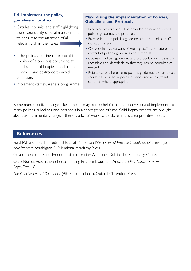### **7.4 Implement the policy, guideline or protocol**

- Circulate to units and staff highlighting the responsibility of local management to bring it to the attention of all relevant staff in their area.
- If the policy, guideline or protocol is a revision of a previous document, at unit level the old copies need to be removed and destroyed to avoid confusion.
- Implement staff awareness programme

### **Maximising the implementation of Policies, Guidelines and Protocols**

- In-service sessions should be provided on new or revised policies, guidelines and protocols.
- Provide input on policies, guidelines and protocols at staff induction sessions.
- Consider innovative ways of keeping staff up-to date on the content of policies, guidelines and protocols.
- Copies of policies, guidelines and protocols should be easily accessible and identifiable so that they can be consulted as needed.
- Reference to adherence to policies, guidelines and protocols should be included in job descriptions and employment contracts where appropriate.

Remember, effective change takes time. It may not be helpful to try to develop and implement too many policies, guidelines and protocols in a short period of time. Solid improvements are brought about by incremental change. If there is a lot of work to be done in this area prioritise needs.

### **References**

Field M.J. and Lohr K.N. eds Institute of Medicine (1990) *Clinical Practice Guidelines: Directions for a new Program.* Washigton DC: National Acadamy Press.

Government of Ireland. Freedom of Information Act, 1997. Dublin:The Stationery Office.

Ohio Nurses Association (1992) Nursing Practice Issues and Answers. *Ohio Nurses Review*  Sept./Oct., 16.

*The Concise Oxford Dictionary* (9th Edition) (1995). Oxford: Clarendon Press.